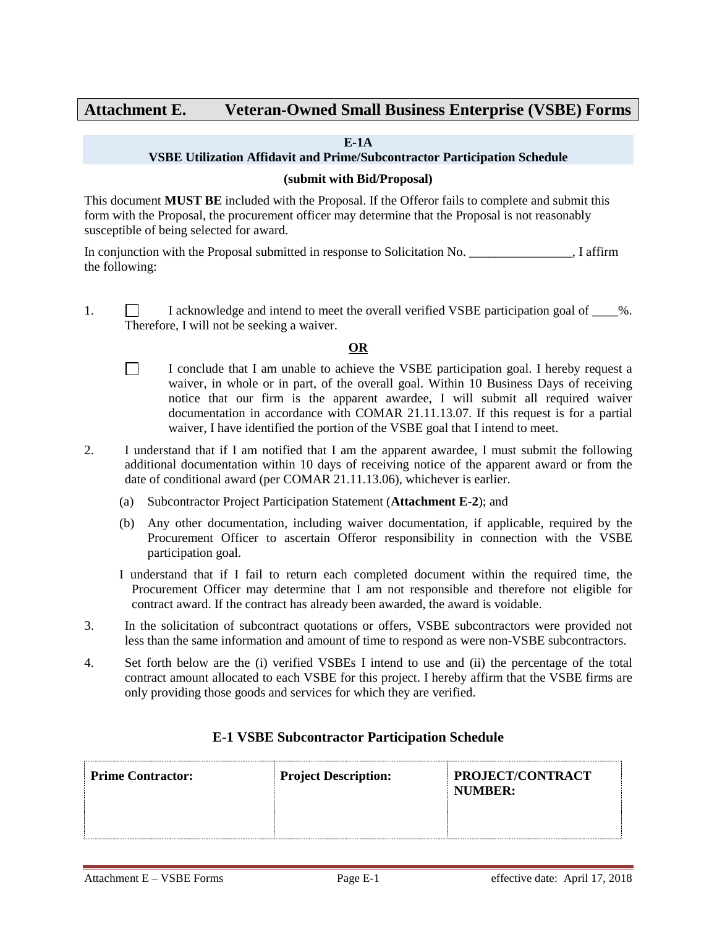# **Attachment E. Veteran-Owned Small Business Enterprise (VSBE) Forms**

#### **E-1A**

### **VSBE Utilization Affidavit and Prime/Subcontractor Participation Schedule**

#### **(submit with Bid/Proposal)**

This document **MUST BE** included with the Proposal. If the Offeror fails to complete and submit this form with the Proposal, the procurement officer may determine that the Proposal is not reasonably susceptible of being selected for award.

In conjunction with the Proposal submitted in response to Solicitation No.  $\blacksquare$  . I affirm the following:

1.  $\Box$  I acknowledge and intend to meet the overall verified VSBE participation goal of  $\Box$ %. Therefore, I will not be seeking a waiver.

# **OR**

- $\Box$ I conclude that I am unable to achieve the VSBE participation goal. I hereby request a waiver, in whole or in part, of the overall goal. Within 10 Business Days of receiving notice that our firm is the apparent awardee, I will submit all required waiver documentation in accordance with COMAR 21.11.13.07. If this request is for a partial waiver, I have identified the portion of the VSBE goal that I intend to meet.
- 2. I understand that if I am notified that I am the apparent awardee, I must submit the following additional documentation within 10 days of receiving notice of the apparent award or from the date of conditional award (per COMAR 21.11.13.06), whichever is earlier.
	- (a) Subcontractor Project Participation Statement (**Attachment E-2**); and
	- (b) Any other documentation, including waiver documentation, if applicable, required by the Procurement Officer to ascertain Offeror responsibility in connection with the VSBE participation goal.
	- I understand that if I fail to return each completed document within the required time, the Procurement Officer may determine that I am not responsible and therefore not eligible for contract award. If the contract has already been awarded, the award is voidable.
- 3. In the solicitation of subcontract quotations or offers, VSBE subcontractors were provided not less than the same information and amount of time to respond as were non-VSBE subcontractors.
- 4. Set forth below are the (i) verified VSBEs I intend to use and (ii) the percentage of the total contract amount allocated to each VSBE for this project. I hereby affirm that the VSBE firms are only providing those goods and services for which they are verified.

# **Prime Contractor: Project Description: PROJECT/CONTRACT NUMBER:**

### **E-1 VSBE Subcontractor Participation Schedule**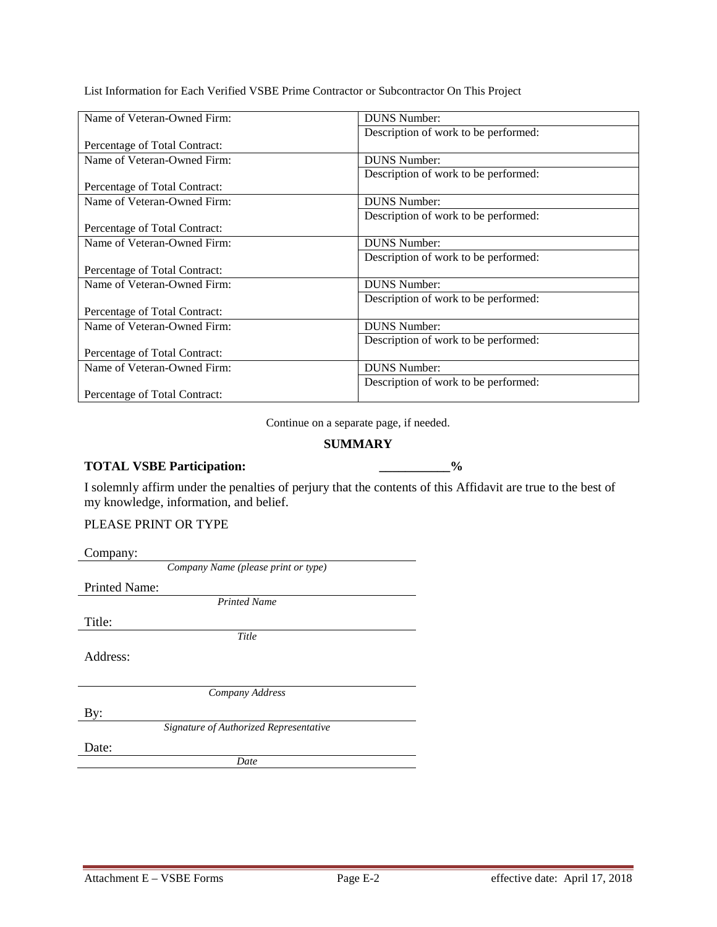List Information for Each Verified VSBE Prime Contractor or Subcontractor On This Project

| Name of Veteran-Owned Firm:   | <b>DUNS Number:</b>                  |  |  |
|-------------------------------|--------------------------------------|--|--|
|                               | Description of work to be performed: |  |  |
| Percentage of Total Contract: |                                      |  |  |
| Name of Veteran-Owned Firm:   | <b>DUNS Number:</b>                  |  |  |
|                               | Description of work to be performed: |  |  |
| Percentage of Total Contract: |                                      |  |  |
| Name of Veteran-Owned Firm:   | <b>DUNS Number:</b>                  |  |  |
|                               | Description of work to be performed: |  |  |
| Percentage of Total Contract: |                                      |  |  |
| Name of Veteran-Owned Firm:   | <b>DUNS Number:</b>                  |  |  |
|                               | Description of work to be performed: |  |  |
| Percentage of Total Contract: |                                      |  |  |
| Name of Veteran-Owned Firm:   | <b>DUNS Number:</b>                  |  |  |
|                               | Description of work to be performed: |  |  |
| Percentage of Total Contract: |                                      |  |  |
| Name of Veteran-Owned Firm:   | <b>DUNS Number:</b>                  |  |  |
|                               | Description of work to be performed: |  |  |
| Percentage of Total Contract: |                                      |  |  |
| Name of Veteran-Owned Firm:   | <b>DUNS Number:</b>                  |  |  |
|                               | Description of work to be performed: |  |  |
| Percentage of Total Contract: |                                      |  |  |

Continue on a separate page, if needed.

### **SUMMARY**

# **TOTAL VSBE Participation: \_\_\_\_\_\_\_\_\_\_\_%**

I solemnly affirm under the penalties of perjury that the contents of this Affidavit are true to the best of my knowledge, information, and belief.

#### PLEASE PRINT OR TYPE

| Company:                               |
|----------------------------------------|
| Company Name (please print or type)    |
| <b>Printed Name:</b>                   |
| <b>Printed Name</b>                    |
| Title:                                 |
| Title                                  |
| Address:                               |
|                                        |
| Company Address                        |
| By:                                    |
| Signature of Authorized Representative |
| Date:                                  |
| Date                                   |
|                                        |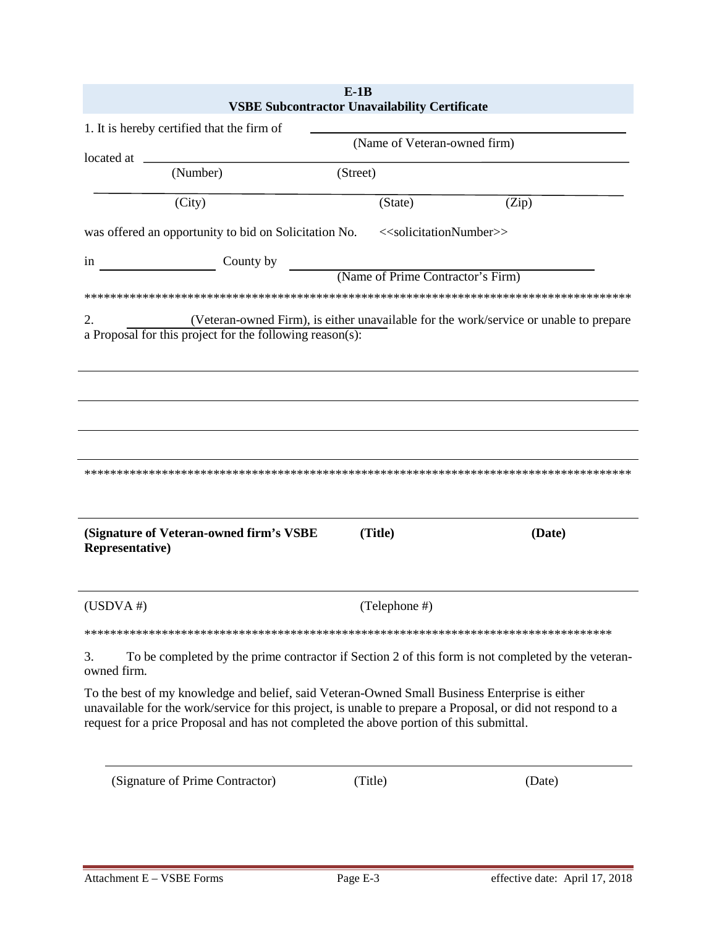|                                                                                                                                                                                           | <b>VSBE Subcontractor Unavailability Certificate</b> | $E-1B$                                          |                                                                                                             |
|-------------------------------------------------------------------------------------------------------------------------------------------------------------------------------------------|------------------------------------------------------|-------------------------------------------------|-------------------------------------------------------------------------------------------------------------|
| 1. It is hereby certified that the firm of                                                                                                                                                |                                                      |                                                 |                                                                                                             |
|                                                                                                                                                                                           |                                                      | (Name of Veteran-owned firm)                    |                                                                                                             |
| located at<br>(Number)                                                                                                                                                                    |                                                      | (Street)                                        |                                                                                                             |
| (City)                                                                                                                                                                                    |                                                      | (State)                                         | (Zip)                                                                                                       |
| was offered an opportunity to bid on Solicitation No.                                                                                                                                     |                                                      | < <solicitationnumber>&gt;</solicitationnumber> |                                                                                                             |
| 1n                                                                                                                                                                                        | County by                                            | (Name of Prime Contractor's Firm)               |                                                                                                             |
|                                                                                                                                                                                           |                                                      |                                                 |                                                                                                             |
| 2.<br>a Proposal for this project for the following reason(s):                                                                                                                            |                                                      |                                                 | (Veteran-owned Firm), is either unavailable for the work/service or unable to prepare                       |
|                                                                                                                                                                                           |                                                      |                                                 |                                                                                                             |
| (Signature of Veteran-owned firm's VSBE<br><b>Representative</b> )                                                                                                                        |                                                      | (Title)                                         | (Date)                                                                                                      |
| $(USDVA \#)$                                                                                                                                                                              |                                                      | (Telephone #)                                   |                                                                                                             |
|                                                                                                                                                                                           |                                                      |                                                 |                                                                                                             |
| 3.<br>owned firm.                                                                                                                                                                         |                                                      |                                                 | To be completed by the prime contractor if Section 2 of this form is not completed by the veteran-          |
| To the best of my knowledge and belief, said Veteran-Owned Small Business Enterprise is either<br>request for a price Proposal and has not completed the above portion of this submittal. |                                                      |                                                 | unavailable for the work/service for this project, is unable to prepare a Proposal, or did not respond to a |
| (Signature of Prime Contractor)                                                                                                                                                           |                                                      | (Title)                                         | (Date)                                                                                                      |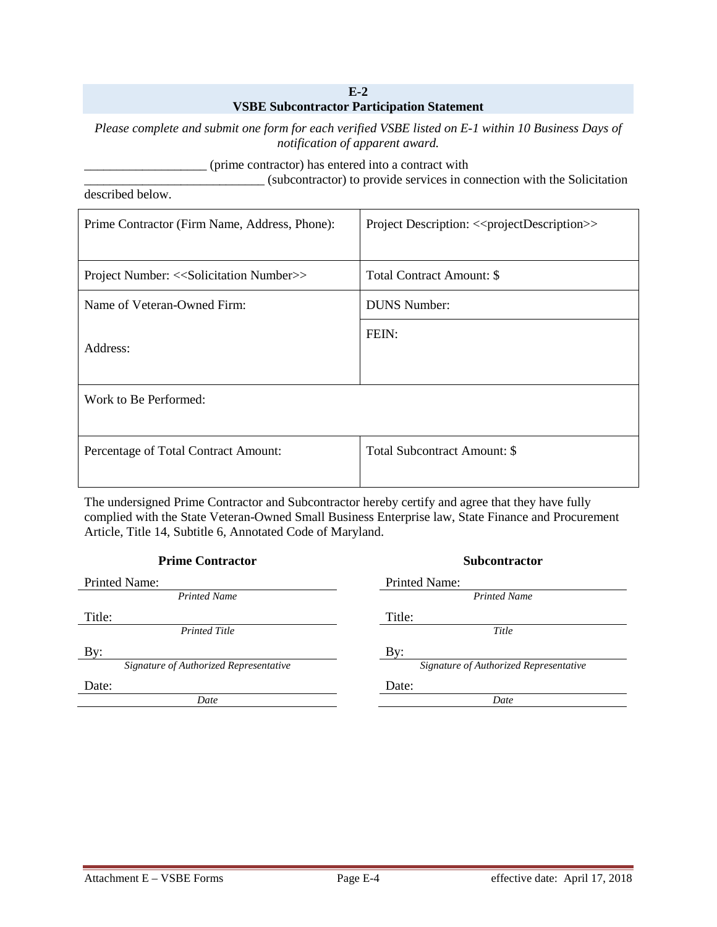#### **E-2 VSBE Subcontractor Participation Statement**

*Please complete and submit one form for each verified VSBE listed on E-1 within 10 Business Days of notification of apparent award.*

\_\_\_\_\_\_\_\_\_\_\_\_\_\_\_\_\_\_\_ (prime contractor) has entered into a contract with

\_\_\_\_\_\_\_\_\_\_\_\_\_\_\_\_\_\_\_\_\_\_\_\_\_\_\_\_ (subcontractor) to provide services in connection with the Solicitation

described below.

| Prime Contractor (Firm Name, Address, Phone):                 | Project Description: << project Description >> |
|---------------------------------------------------------------|------------------------------------------------|
| Project Number: < <solicitation number="">&gt;</solicitation> | Total Contract Amount: \$                      |
| Name of Veteran-Owned Firm:                                   | <b>DUNS Number:</b>                            |
| Address:                                                      | FEIN:                                          |
| Work to Be Performed:                                         |                                                |
| Percentage of Total Contract Amount:                          | Total Subcontract Amount: \$                   |

The undersigned Prime Contractor and Subcontractor hereby certify and agree that they have fully complied with the State Veteran-Owned Small Business Enterprise law, State Finance and Procurement Article, Title 14, Subtitle 6, Annotated Code of Maryland.

| <b>Prime Contractor</b>                | <b>Subcontractor</b>                   |
|----------------------------------------|----------------------------------------|
| Printed Name:                          | Printed Name:                          |
| <b>Printed Name</b>                    | <b>Printed Name</b>                    |
| Title:                                 | Title:                                 |
| <b>Printed Title</b>                   | Title                                  |
| By:                                    | By:                                    |
| Signature of Authorized Representative | Signature of Authorized Representative |
| Date:                                  | Date:                                  |
| Date                                   | Date                                   |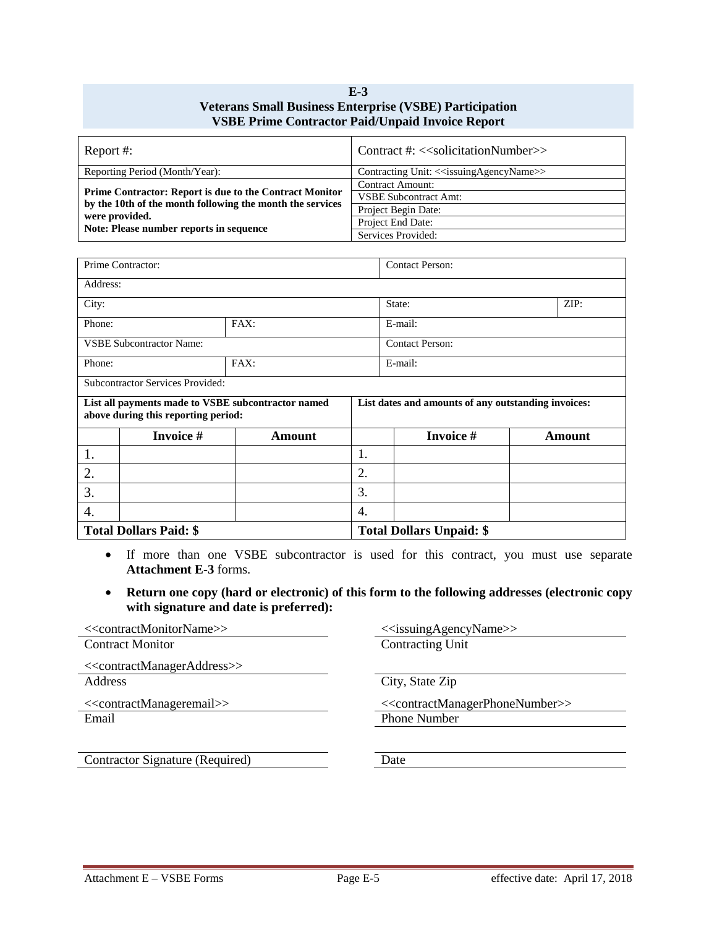#### **E-3 Veterans Small Business Enterprise (VSBE) Participation VSBE Prime Contractor Paid/Unpaid Invoice Report**

| Report #:                                                                                                                                                                         | Contract #: < <solicitationnumber>&gt;</solicitationnumber>     |
|-----------------------------------------------------------------------------------------------------------------------------------------------------------------------------------|-----------------------------------------------------------------|
| Reporting Period (Month/Year):                                                                                                                                                    | Contracting Unit: < <issuingagencyname>&gt;</issuingagencyname> |
| Prime Contractor: Report is due to the Contract Monitor<br>by the 10th of the month following the month the services<br>were provided.<br>Note: Please number reports in sequence | Contract Amount:                                                |
|                                                                                                                                                                                   | <b>VSBE Subcontract Amt:</b>                                    |
|                                                                                                                                                                                   | Project Begin Date:                                             |
|                                                                                                                                                                                   | Project End Date:                                               |
|                                                                                                                                                                                   | Services Provided:                                              |

| Prime Contractor: |                                         | <b>Contact Person:</b>                             |    |                                                     |               |  |  |
|-------------------|-----------------------------------------|----------------------------------------------------|----|-----------------------------------------------------|---------------|--|--|
| Address:          |                                         |                                                    |    |                                                     |               |  |  |
| City:             |                                         |                                                    |    | State:                                              | ZIP:          |  |  |
| Phone:            |                                         | FAX:                                               |    | E-mail:                                             |               |  |  |
|                   | <b>VSBE Subcontractor Name:</b>         |                                                    |    | <b>Contact Person:</b>                              |               |  |  |
| Phone:            |                                         | FAX:                                               |    | E-mail:                                             |               |  |  |
|                   | <b>Subcontractor Services Provided:</b> |                                                    |    |                                                     |               |  |  |
|                   | above during this reporting period:     | List all payments made to VSBE subcontractor named |    | List dates and amounts of any outstanding invoices: |               |  |  |
|                   | <b>Invoice #</b>                        | Amount                                             |    | <b>Invoice #</b>                                    | <b>Amount</b> |  |  |
| 1.                |                                         |                                                    | 1. |                                                     |               |  |  |
| 2.                |                                         | 2.                                                 |    |                                                     |               |  |  |
| 3.                |                                         |                                                    | 3. |                                                     |               |  |  |
| 4.                |                                         |                                                    | 4. |                                                     |               |  |  |
|                   | <b>Total Dollars Paid: \$</b>           |                                                    |    | <b>Total Dollars Unpaid: \$</b>                     |               |  |  |

- If more than one VSBE subcontractor is used for this contract, you must use separate **Attachment E-3** forms.
- **Return one copy (hard or electronic) of this form to the following addresses (electronic copy with signature and date is preferred):**

| < <contractmonitorname>&gt;</contractmonitorname>       | < <issuingagencyname>&gt;</issuingagencyname>                   |
|---------------------------------------------------------|-----------------------------------------------------------------|
| <b>Contract Monitor</b>                                 | Contracting Unit                                                |
| < <contractmanageraddress>&gt;</contractmanageraddress> |                                                                 |
| <b>Address</b>                                          | City, State Zip                                                 |
| < <contractmanageremail>&gt;</contractmanageremail>     | < <contractmanagerphonenumber>&gt;</contractmanagerphonenumber> |
| Email                                                   | <b>Phone Number</b>                                             |
|                                                         |                                                                 |
| Contractor Signature (Required)                         | Date                                                            |